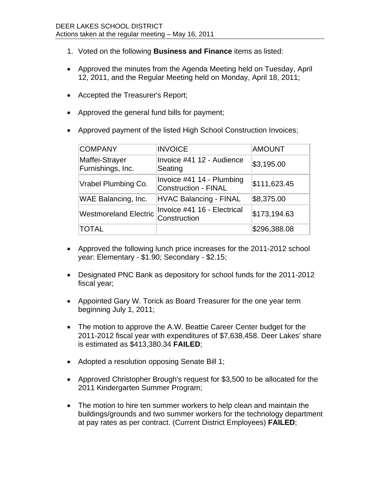- 1. Voted on the following **Business and Finance** items as listed:
- Approved the minutes from the Agenda Meeting held on Tuesday, April 12, 2011, and the Regular Meeting held on Monday, April 18, 2011;
- Accepted the Treasurer's Report;
- Approved the general fund bills for payment;
- Approved payment of the listed High School Construction Invoices;

| <b>COMPANY</b>                      | <b>INVOICE</b>                                           | <b>AMOUNT</b> |
|-------------------------------------|----------------------------------------------------------|---------------|
| Maffei-Strayer<br>Furnishings, Inc. | Invoice #41 12 - Audience<br>Seating                     | \$3,195.00    |
| Vrabel Plumbing Co.                 | Invoice #41 14 - Plumbing<br><b>Construction - FINAL</b> | \$111,623.45  |
| <b>WAE Balancing, Inc.</b>          | <b>HVAC Balancing - FINAL</b>                            | \$8,375.00    |
| <b>Westmoreland Electric</b>        | Invoice #41 16 - Electrical<br>Construction              | \$173,194.63  |
| <b>TOTAL</b>                        |                                                          | \$296,388.08  |

- Approved the following lunch price increases for the 2011-2012 school year: Elementary - \$1.90; Secondary - \$2.15;
- Designated PNC Bank as depository for school funds for the 2011-2012 fiscal year;
- Appointed Gary W. Torick as Board Treasurer for the one year term beginning July 1, 2011;
- The motion to approve the A.W. Beattie Career Center budget for the 2011-2012 fiscal year with expenditures of \$7,638,458. Deer Lakes' share is estimated as \$413,380.34 **FAILED**;
- Adopted a resolution opposing Senate Bill 1;
- Approved Christopher Brough's request for \$3,500 to be allocated for the 2011 Kindergarten Summer Program;
- The motion to hire ten summer workers to help clean and maintain the buildings/grounds and two summer workers for the technology department at pay rates as per contract. (Current District Employees) **FAILED**;